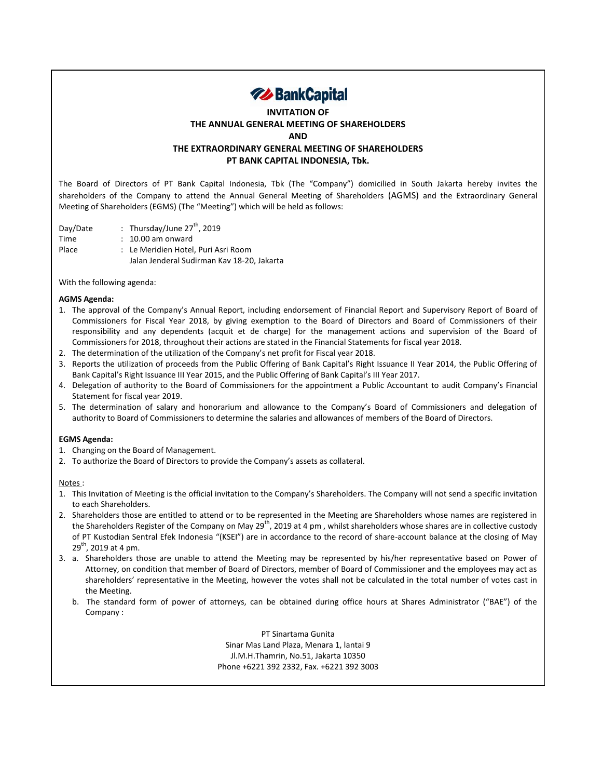

## **INVITATION OF THE ANNUAL GENERAL MEETING OF SHAREHOLDERS AND THE EXTRAORDINARY GENERAL MEETING OF SHAREHOLDERS PT BANK CAPITAL INDONESIA, Tbk.**

shareholders of the Company to attend the Annual General Meeting of Shareholders (AGMS) and the Extraordinary General

The Board of Directors of PT Bank Capital Indonesia, Tbk (The "Company") domicilied in South Jakarta hereby invites the

Day/Date : Thursday/June 27<sup>th</sup>, 2019 Time : 10.00 am onward Place : Le Meridien Hotel, Puri Asri Room Jalan Jenderal Sudirman Kav 18-20, Jakarta

Meeting of Shareholders (EGMS) (The "Meeting") which will be held as follows:

With the following agenda:

## **AGMS Agenda:**

- 1. The approval of the Company's Annual Report, including endorsement of Financial Report and Supervisory Report of Board of Commissioners for Fiscal Year 2018, by giving exemption to the Board of Directors and Board of Commissioners of their responsibility and any dependents (acquit et de charge) for the management actions and supervision of the Board of Commissioners for 2018, throughout their actions are stated in the Financial Statements for fiscal year 2018.
- 2. The determination of the utilization of the Company's net profit for Fiscal year 2018.
- 3. Reports the utilization of proceeds from the Public Offering of Bank Capital's Right Issuance II Year 2014, the Public Offering of Bank Capital's Right Issuance III Year 2015, and the Public Offering of Bank Capital's III Year 2017.
- 4. Delegation of authority to the Board of Commissioners for the appointment a Public Accountant to audit Company's Financial Statement for fiscal year 2019.
- 5. The determination of salary and honorarium and allowance to the Company's Board of Commissioners and delegation of authority to Board of Commissioners to determine the salaries and allowances of members of the Board of Directors.

## **EGMS Agenda:**

- 1. Changing on the Board of Management.
- 2. To authorize the Board of Directors to provide the Company's assets as collateral.

## Notes :

- 1. This Invitation of Meeting is the official invitation to the Company's Shareholders. The Company will not send a specific invitation to each Shareholders.
- 2. Shareholders those are entitled to attend or to be represented in the Meeting are Shareholders whose names are registered in the Shareholders Register of the Company on May 29<sup>th</sup>, 2019 at 4 pm, whilst shareholders whose shares are in collective custody of PT Kustodian Sentral Efek Indonesia "(KSEI") are in accordance to the record of share-account balance at the closing of May  $29^{th}$ , 2019 at 4 pm.
- 3. a. Shareholders those are unable to attend the Meeting may be represented by his/her representative based on Power of Attorney, on condition that member of Board of Directors, member of Board of Commissioner and the employees may act as shareholders' representative in the Meeting, however the votes shall not be calculated in the total number of votes cast in the Meeting.
	- b. The standard form of power of attorneys, can be obtained during office hours at Shares Administrator ("BAE") of the Company :

PT Sinartama Gunita Sinar Mas Land Plaza, Menara 1, lantai 9 Jl.M.H.Thamrin, No.51, Jakarta 10350 Phone +6221 392 2332, Fax. +6221 392 3003